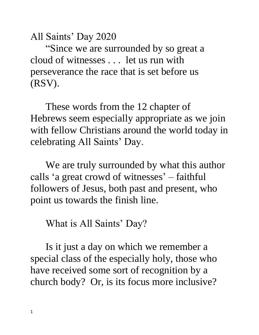All Saints' Day 2020

"Since we are surrounded by so great a cloud of witnesses . . . let us run with perseverance the race that is set before us (RSV).

These words from the 12 chapter of Hebrews seem especially appropriate as we join with fellow Christians around the world today in celebrating All Saints' Day.

We are truly surrounded by what this author calls 'a great crowd of witnesses' – faithful followers of Jesus, both past and present, who point us towards the finish line.

What is All Saints' Day?

Is it just a day on which we remember a special class of the especially holy, those who have received some sort of recognition by a church body? Or, is its focus more inclusive?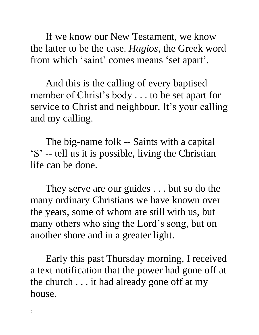If we know our New Testament, we know the latter to be the case. *Hagios*, the Greek word from which 'saint' comes means 'set apart'.

And this is the calling of every baptised member of Christ's body . . . to be set apart for service to Christ and neighbour. It's your calling and my calling.

The big-name folk -- Saints with a capital 'S' -- tell us it is possible, living the Christian life can be done.

They serve are our guides . . . but so do the many ordinary Christians we have known over the years, some of whom are still with us, but many others who sing the Lord's song, but on another shore and in a greater light.

Early this past Thursday morning, I received a text notification that the power had gone off at the church . . . it had already gone off at my house.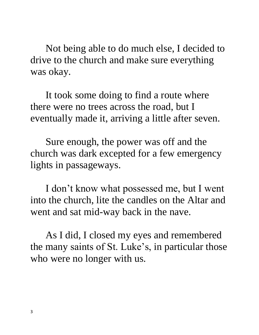Not being able to do much else, I decided to drive to the church and make sure everything was okay.

It took some doing to find a route where there were no trees across the road, but I eventually made it, arriving a little after seven.

Sure enough, the power was off and the church was dark excepted for a few emergency lights in passageways.

I don't know what possessed me, but I went into the church, lite the candles on the Altar and went and sat mid-way back in the nave.

As I did, I closed my eyes and remembered the many saints of St. Luke's, in particular those who were no longer with us.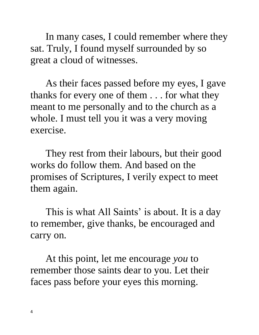In many cases, I could remember where they sat. Truly, I found myself surrounded by so great a cloud of witnesses.

As their faces passed before my eyes, I gave thanks for every one of them . . . for what they meant to me personally and to the church as a whole. I must tell you it was a very moving exercise.

They rest from their labours, but their good works do follow them. And based on the promises of Scriptures, I verily expect to meet them again.

This is what All Saints' is about. It is a day to remember, give thanks, be encouraged and carry on.

At this point, let me encourage *you* to remember those saints dear to you. Let their faces pass before your eyes this morning.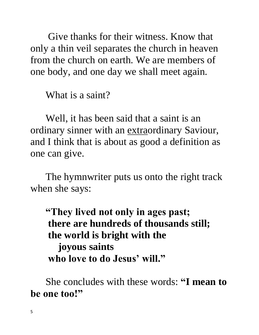Give thanks for their witness. Know that only a thin veil separates the church in heaven from the church on earth. We are members of one body, and one day we shall meet again.

What is a saint?

Well, it has been said that a saint is an ordinary sinner with an extraordinary Saviour, and I think that is about as good a definition as one can give.

The hymnwriter puts us onto the right track when she says:

**"They lived not only in ages past; there are hundreds of thousands still; the world is bright with the joyous saints who love to do Jesus' will."**

She concludes with these words: **"I mean to be one too!"**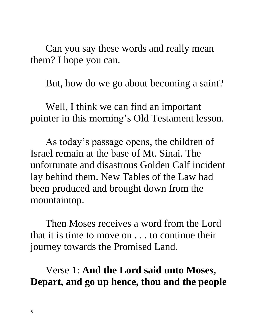Can you say these words and really mean them? I hope you can.

But, how do we go about becoming a saint?

Well, I think we can find an important pointer in this morning's Old Testament lesson.

As today's passage opens, the children of Israel remain at the base of Mt. Sinai. The unfortunate and disastrous Golden Calf incident lay behind them. New Tables of the Law had been produced and brought down from the mountaintop.

Then Moses receives a word from the Lord that it is time to move on . . . to continue their journey towards the Promised Land.

## Verse 1: **And the Lord said unto Moses, Depart, and go up hence, thou and the people**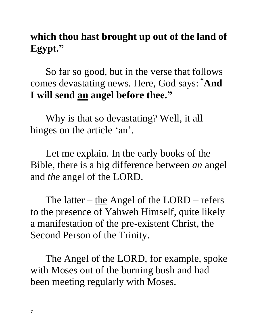# **which thou hast brought up out of the land of Egypt."**

So far so good, but in the verse that follows comes devastating news. Here, God says: **"And I will send an angel before thee."**

Why is that so devastating? Well, it all hinges on the article 'an'.

Let me explain. In the early books of the Bible, there is a big difference between *an* angel and *the* angel of the LORD.

The latter – the Angel of the LORD – refers to the presence of Yahweh Himself, quite likely a manifestation of the pre-existent Christ, the Second Person of the Trinity.

The Angel of the LORD, for example, spoke with Moses out of the burning bush and had been meeting regularly with Moses.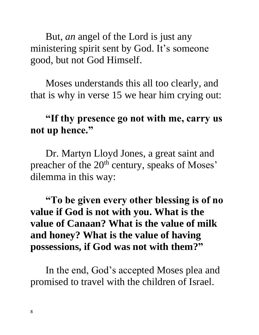But, *an* angel of the Lord is just any ministering spirit sent by God. It's someone good, but not God Himself.

Moses understands this all too clearly, and that is why in verse 15 we hear him crying out:

#### **"If thy presence go not with me, carry us not up hence."**

Dr. Martyn Lloyd Jones, a great saint and preacher of the 20<sup>th</sup> century, speaks of Moses' dilemma in this way:

## **"To be given every other blessing is of no value if God is not with you. What is the value of Canaan? What is the value of milk and honey? What is the value of having possessions, if God was not with them?"**

In the end, God's accepted Moses plea and promised to travel with the children of Israel.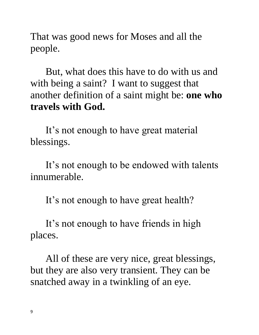That was good news for Moses and all the people.

But, what does this have to do with us and with being a saint? I want to suggest that another definition of a saint might be: **one who travels with God.** 

It's not enough to have great material blessings.

It's not enough to be endowed with talents innumerable.

It's not enough to have great health?

It's not enough to have friends in high places.

All of these are very nice, great blessings, but they are also very transient. They can be snatched away in a twinkling of an eye.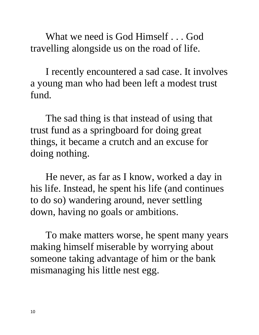What we need is God Himself . . . God travelling alongside us on the road of life.

I recently encountered a sad case. It involves a young man who had been left a modest trust fund.

The sad thing is that instead of using that trust fund as a springboard for doing great things, it became a crutch and an excuse for doing nothing.

He never, as far as I know, worked a day in his life. Instead, he spent his life (and continues to do so) wandering around, never settling down, having no goals or ambitions.

To make matters worse, he spent many years making himself miserable by worrying about someone taking advantage of him or the bank mismanaging his little nest egg.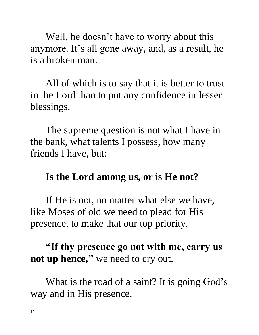Well, he doesn't have to worry about this anymore. It's all gone away, and, as a result, he is a broken man.

All of which is to say that it is better to trust in the Lord than to put any confidence in lesser blessings.

The supreme question is not what I have in the bank, what talents I possess, how many friends I have, but:

#### **Is the Lord among us, or is He not?**

If He is not, no matter what else we have, like Moses of old we need to plead for His presence, to make that our top priority.

### **"If thy presence go not with me, carry us not up hence, "** we need to cry out.

What is the road of a saint? It is going God's way and in His presence.